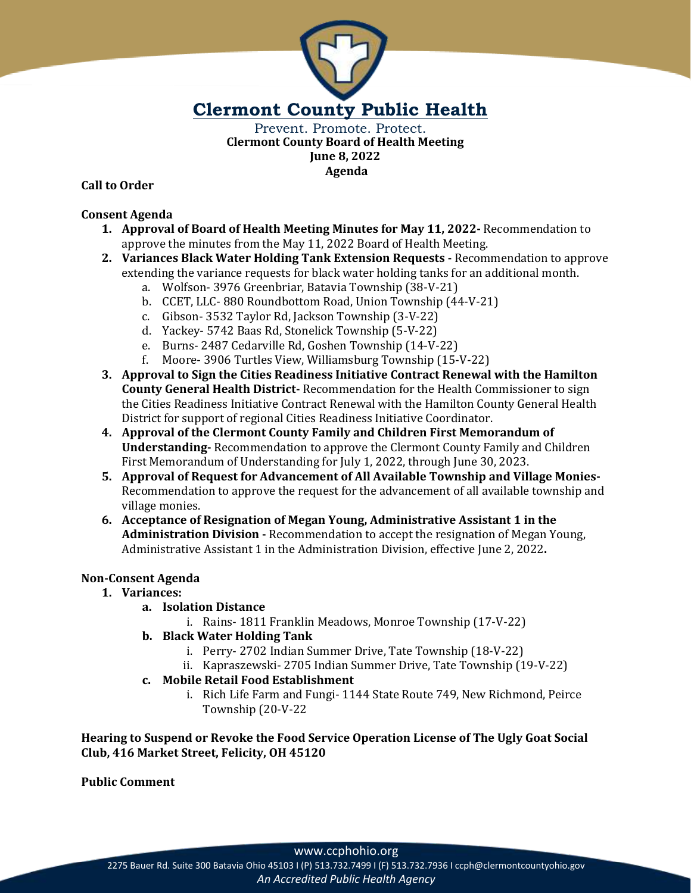

Prevent. Promote. Protect. **Clermont County Board of Health Meeting June 8, 2022 Agenda**

**Call to Order**

# **Consent Agenda**

- **1. Approval of Board of Health Meeting Minutes for May 11, 2022-** Recommendation to approve the minutes from the May 11, 2022 Board of Health Meeting.
- **2. Variances Black Water Holding Tank Extension Requests -** Recommendation to approve extending the variance requests for black water holding tanks for an additional month.
	- a. Wolfson- 3976 Greenbriar, Batavia Township (38-V-21)
	- b. CCET, LLC- 880 Roundbottom Road, Union Township (44-V-21)
	- c. Gibson- 3532 Taylor Rd, Jackson Township (3-V-22)
	- d. Yackey- 5742 Baas Rd, Stonelick Township (5-V-22)
	- e. Burns- 2487 Cedarville Rd, Goshen Township (14-V-22)
	- f. Moore- 3906 Turtles View, Williamsburg Township (15-V-22)
- **3. Approval to Sign the Cities Readiness Initiative Contract Renewal with the Hamilton County General Health District-** Recommendation for the Health Commissioner to sign the Cities Readiness Initiative Contract Renewal with the Hamilton County General Health District for support of regional Cities Readiness Initiative Coordinator.
- **4. Approval of the Clermont County Family and Children First Memorandum of Understanding-** Recommendation to approve the Clermont County Family and Children First Memorandum of Understanding for July 1, 2022, through June 30, 2023.
- **5. Approval of Request for Advancement of All Available Township and Village Monies-**Recommendation to approve the request for the advancement of all available township and village monies.
- **6. Acceptance of Resignation of Megan Young, Administrative Assistant 1 in the Administration Division -** Recommendation to accept the resignation of Megan Young, Administrative Assistant 1 in the Administration Division, effective June 2, 2022**.**

# **Non-Consent Agenda**

- **1. Variances:**
	- **a. Isolation Distance**
		- i. Rains- 1811 Franklin Meadows, Monroe Township (17-V-22)
	- **b. Black Water Holding Tank**
		- i. Perry- 2702 Indian Summer Drive, Tate Township (18-V-22)
		- ii. Kapraszewski- 2705 Indian Summer Drive, Tate Township (19-V-22)
	- **c. Mobile Retail Food Establishment** 
		- i. Rich Life Farm and Fungi- 1144 State Route 749, New Richmond, Peirce Township (20-V-22

**Hearing to Suspend or Revoke the Food Service Operation License of The Ugly Goat Social Club, 416 Market Street, Felicity, OH 45120**

**Public Comment**